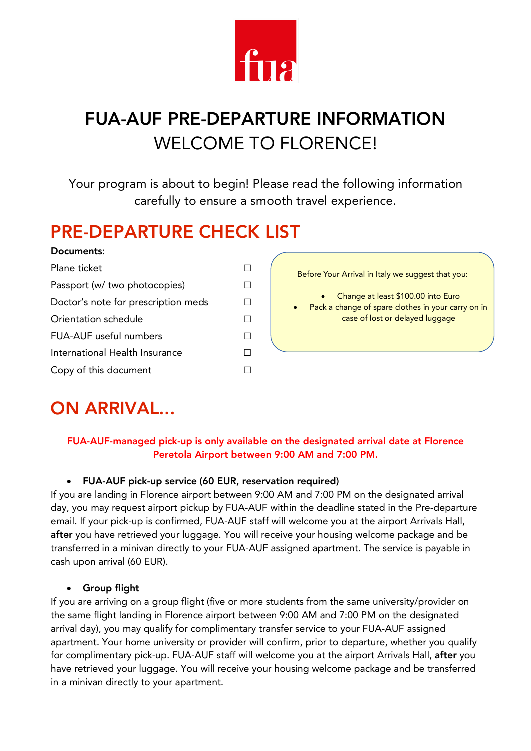

# FUA-AUF PRE-DEPARTURE INFORMATION WELCOME TO FLORENCE!

Your program is about to begin! Please read the following information carefully to ensure a smooth travel experience.

### PRE-DEPARTURE CHECK LIST

#### Documents:

| Plane ticket                        |  |
|-------------------------------------|--|
| Passport (w/ two photocopies)       |  |
| Doctor's note for prescription meds |  |
| Orientation schedule                |  |
| FUA-AUF useful numbers              |  |
| International Health Insurance      |  |
| Copy of this document               |  |



## ON ARRIVAL...

#### FUA-AUF-managed pick-up is only available on the designated arrival date at Florence Peretola Airport between 9:00 AM and 7:00 PM.

#### • FUA-AUF pick-up service (60 EUR, reservation required)

If you are landing in Florence airport between 9:00 AM and 7:00 PM on the designated arrival day, you may request airport pickup by FUA-AUF within the deadline stated in the Pre-departure email. If your pick-up is confirmed, FUA-AUF staff will welcome you at the airport Arrivals Hall, after you have retrieved your luggage. You will receive your housing welcome package and be transferred in a minivan directly to your FUA-AUF assigned apartment. The service is payable in cash upon arrival (60 EUR).

#### • Group flight

If you are arriving on a group flight (five or more students from the same university/provider on the same flight landing in Florence airport between 9:00 AM and 7:00 PM on the designated arrival day), you may qualify for complimentary transfer service to your FUA-AUF assigned apartment. Your home university or provider will confirm, prior to departure, whether you qualify for complimentary pick-up. FUA-AUF staff will welcome you at the airport Arrivals Hall, after you have retrieved your luggage. You will receive your housing welcome package and be transferred in a minivan directly to your apartment.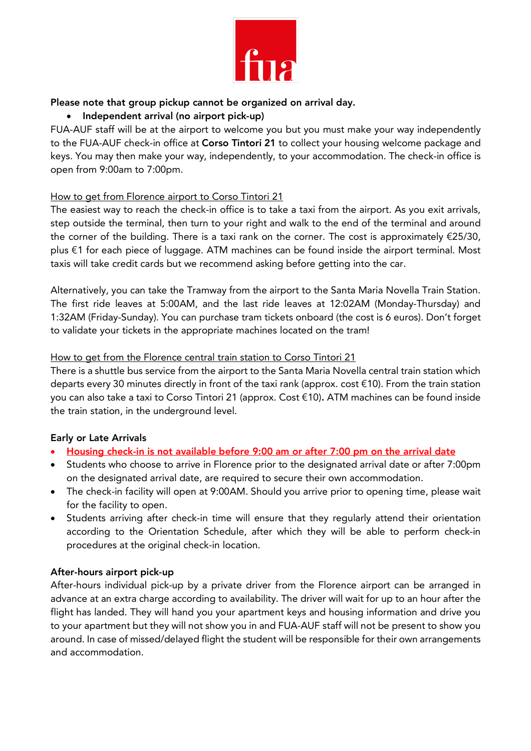

#### Please note that group pickup cannot be organized on arrival day.

#### • Independent arrival (no airport pick-up)

FUA-AUF staff will be at the airport to welcome you but you must make your way independently to the FUA-AUF check-in office at Corso Tintori 21 to collect your housing welcome package and keys. You may then make your way, independently, to your accommodation. The check-in office is open from 9:00am to 7:00pm.

#### How to get from Florence airport to Corso Tintori 21

The easiest way to reach the check-in office is to take a taxi from the airport. As you exit arrivals, step outside the terminal, then turn to your right and walk to the end of the terminal and around the corner of the building. There is a taxi rank on the corner. The cost is approximately €25/30, plus €1 for each piece of luggage. ATM machines can be found inside the airport terminal. Most taxis will take credit cards but we recommend asking before getting into the car.

Alternatively, you can take the Tramway from the airport to the Santa Maria Novella Train Station. The first ride leaves at 5:00AM, and the last ride leaves at 12:02AM (Monday-Thursday) and 1:32AM (Friday-Sunday). You can purchase tram tickets onboard (the cost is 6 euros). Don't forget to validate your tickets in the appropriate machines located on the tram!

#### How to get from the Florence central train station to Corso Tintori 21

There is a shuttle bus service from the airport to the Santa Maria Novella central train station which departs every 30 minutes directly in front of the taxi rank (approx. cost €10). From the train station you can also take a taxi to Corso Tintori 21 (approx. Cost €10). ATM machines can be found inside the train station, in the underground level.

#### Early or Late Arrivals

- Housing check-in is not available before 9:00 am or after 7:00 pm on the arrival date
- Students who choose to arrive in Florence prior to the designated arrival date or after 7:00pm on the designated arrival date, are required to secure their own accommodation.
- The check-in facility will open at 9:00AM. Should you arrive prior to opening time, please wait for the facility to open.
- Students arriving after check-in time will ensure that they regularly attend their orientation according to the Orientation Schedule, after which they will be able to perform check-in procedures at the original check-in location.

#### After-hours airport pick-up

After-hours individual pick-up by a private driver from the Florence airport can be arranged in advance at an extra charge according to availability. The driver will wait for up to an hour after the flight has landed. They will hand you your apartment keys and housing information and drive you to your apartment but they will not show you in and FUA-AUF staff will not be present to show you around. In case of missed/delayed flight the student will be responsible for their own arrangements and accommodation.